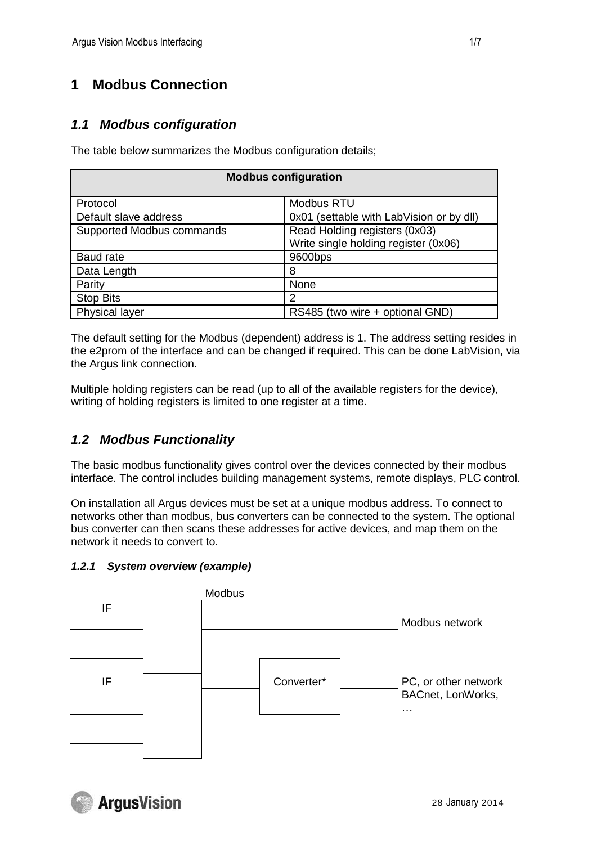# **1 Modbus Connection**

# *1.1 Modbus configuration*

The table below summarizes the Modbus configuration details;

| <b>Modbus configuration</b> |                                                                       |  |  |  |  |  |  |  |  |
|-----------------------------|-----------------------------------------------------------------------|--|--|--|--|--|--|--|--|
| Protocol                    | <b>Modbus RTU</b>                                                     |  |  |  |  |  |  |  |  |
| Default slave address       | 0x01 (settable with LabVision or by dll)                              |  |  |  |  |  |  |  |  |
| Supported Modbus commands   | Read Holding registers (0x03)<br>Write single holding register (0x06) |  |  |  |  |  |  |  |  |
| Baud rate                   | 9600bps                                                               |  |  |  |  |  |  |  |  |
| Data Length                 | 8                                                                     |  |  |  |  |  |  |  |  |
| Parity                      | None                                                                  |  |  |  |  |  |  |  |  |
| <b>Stop Bits</b>            | 2                                                                     |  |  |  |  |  |  |  |  |
| Physical layer              | RS485 (two wire + optional GND)                                       |  |  |  |  |  |  |  |  |

The default setting for the Modbus (dependent) address is 1. The address setting resides in the e2prom of the interface and can be changed if required. This can be done LabVision, via the Argus link connection.

Multiple holding registers can be read (up to all of the available registers for the device), writing of holding registers is limited to one register at a time.

# *1.2 Modbus Functionality*

The basic modbus functionality gives control over the devices connected by their modbus interface. The control includes building management systems, remote displays, PLC control.

On installation all Argus devices must be set at a unique modbus address. To connect to networks other than modbus, bus converters can be connected to the system. The optional bus converter can then scans these addresses for active devices, and map them on the network it needs to convert to.

### *1.2.1 System overview (example)*



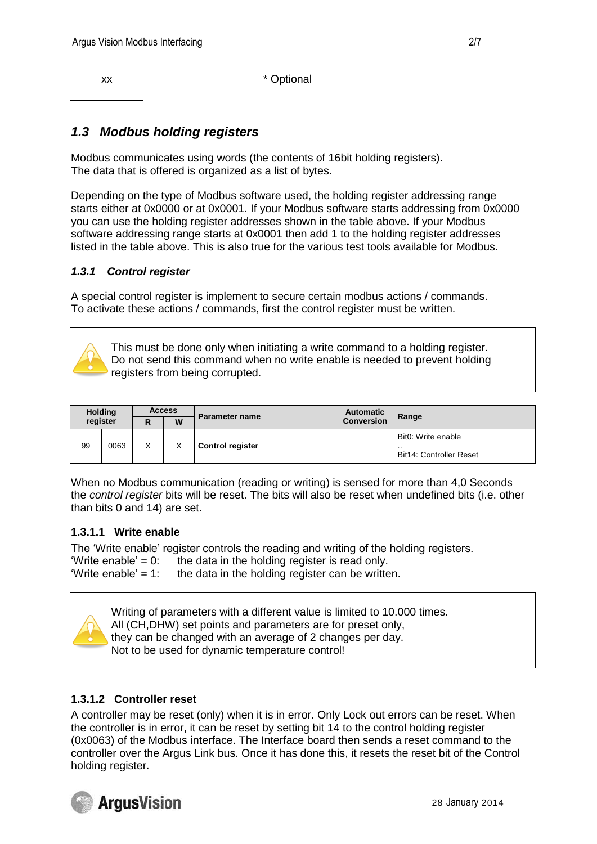xx  $\vert$  \* Optional

# *1.3 Modbus holding registers*

Modbus communicates using words (the contents of 16bit holding registers). The data that is offered is organized as a list of bytes.

Depending on the type of Modbus software used, the holding register addressing range starts either at 0x0000 or at 0x0001. If your Modbus software starts addressing from 0x0000 you can use the holding register addresses shown in the table above. If your Modbus software addressing range starts at 0x0001 then add 1 to the holding register addresses listed in the table above. This is also true for the various test tools available for Modbus.

#### *1.3.1 Control register*

A special control register is implement to secure certain modbus actions / commands. To activate these actions / commands, first the control register must be written.

This must be done only when initiating a write command to a holding register. Do not send this command when no write enable is needed to prevent holding registers from being corrupted.

| <b>Holding</b><br>register |      | <b>Access</b> |   |                         | <b>Automatic</b>  |                                                             |
|----------------------------|------|---------------|---|-------------------------|-------------------|-------------------------------------------------------------|
|                            |      | n<br>r        | W | <b>Parameter name</b>   | <b>Conversion</b> | Range                                                       |
| 99                         | 0063 | Χ             |   | <b>Control register</b> |                   | Bit0: Write enable<br>. .<br><b>Bit14: Controller Reset</b> |

When no Modbus communication (reading or writing) is sensed for more than 4,0 Seconds the *control register* bits will be reset. The bits will also be reset when undefined bits (i.e. other than bits 0 and 14) are set.

#### **1.3.1.1 Write enable**

The 'Write enable' register controls the reading and writing of the holding registers. 'Write enable' =  $0$ : the data in the holding register is read only. 'Write enable' = 1: the data in the holding register can be written.



Writing of parameters with a different value is limited to 10.000 times. All (CH,DHW) set points and parameters are for preset only, they can be changed with an average of 2 changes per day. Not to be used for dynamic temperature control!

#### **1.3.1.2 Controller reset**

A controller may be reset (only) when it is in error. Only Lock out errors can be reset. When the controller is in error, it can be reset by setting bit 14 to the control holding register (0x0063) of the Modbus interface. The Interface board then sends a reset command to the controller over the Argus Link bus. Once it has done this, it resets the reset bit of the Control holding register.

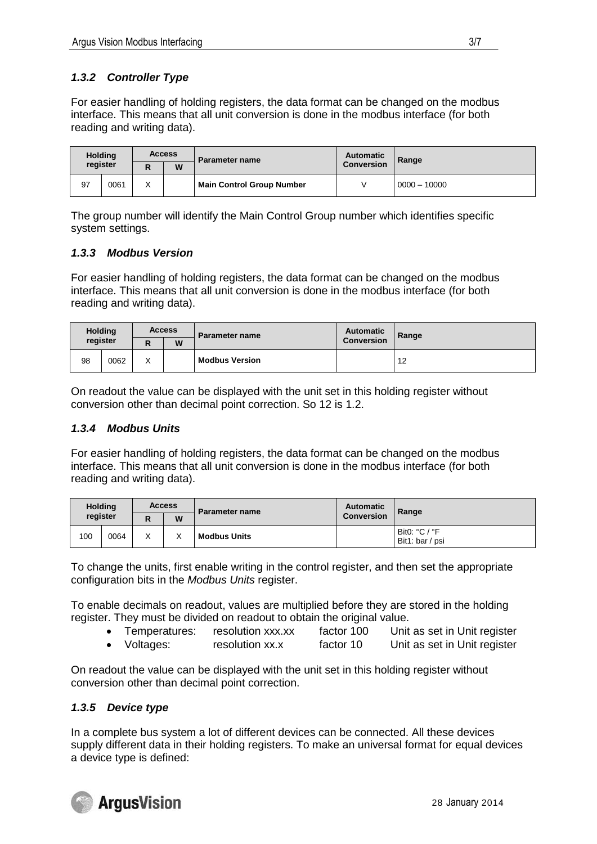### *1.3.2 Controller Type*

For easier handling of holding registers, the data format can be changed on the modbus interface. This means that all unit conversion is done in the modbus interface (for both reading and writing data).

| <b>Holding</b><br>register |      | <b>Access</b>     |   | <b>Parameter name</b>            | <b>Automatic</b>  | Range          |
|----------------------------|------|-------------------|---|----------------------------------|-------------------|----------------|
|                            |      | D<br>יי           | W |                                  | <b>Conversion</b> |                |
| 97                         | 0061 | $\checkmark$<br>∧ |   | <b>Main Control Group Number</b> |                   | $0000 - 10000$ |

The group number will identify the Main Control Group number which identifies specific system settings.

#### *1.3.3 Modbus Version*

For easier handling of holding registers, the data format can be changed on the modbus interface. This means that all unit conversion is done in the modbus interface (for both reading and writing data).

| <b>Holding</b><br>register |      | <b>Access</b>     |   | Parameter name        | Automatic         | Range |
|----------------------------|------|-------------------|---|-----------------------|-------------------|-------|
|                            |      | יי                | W |                       | <b>Conversion</b> |       |
| 98                         | 0062 | $\checkmark$<br>∧ |   | <b>Modbus Version</b> |                   | 12    |

On readout the value can be displayed with the unit set in this holding register without conversion other than decimal point correction. So 12 is 1.2.

#### *1.3.4 Modbus Units*

For easier handling of holding registers, the data format can be changed on the modbus interface. This means that all unit conversion is done in the modbus interface (for both reading and writing data).

| <b>Holding</b><br>register |      | <b>Access</b>     |   | <b>Parameter name</b> | <b>Automatic</b>  | Range                            |
|----------------------------|------|-------------------|---|-----------------------|-------------------|----------------------------------|
|                            |      |                   | W |                       | <b>Conversion</b> |                                  |
| 100                        | 0064 | $\checkmark$<br>⋏ | ⌒ | <b>Modbus Units</b>   |                   | Bit0: °C / °F<br>Bit1: bar / psi |

To change the units, first enable writing in the control register, and then set the appropriate configuration bits in the *Modbus Units* register.

To enable decimals on readout, values are multiplied before they are stored in the holding register. They must be divided on readout to obtain the original value.

- Temperatures: resolution xxx.xx factor 100 Unit as set in Unit register
- Voltages: resolution xx.x factor 10 Unit as set in Unit register

On readout the value can be displayed with the unit set in this holding register without conversion other than decimal point correction.

#### *1.3.5 Device type*

In a complete bus system a lot of different devices can be connected. All these devices supply different data in their holding registers. To make an universal format for equal devices a device type is defined:

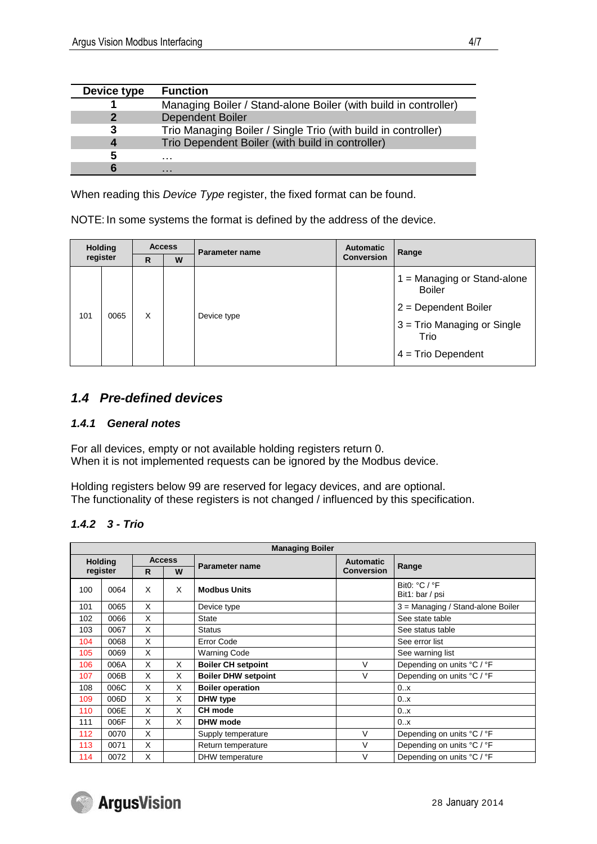| Device type | <b>Function</b>                                                 |
|-------------|-----------------------------------------------------------------|
|             | Managing Boiler / Stand-alone Boiler (with build in controller) |
|             | <b>Dependent Boiler</b>                                         |
| 3           | Trio Managing Boiler / Single Trio (with build in controller)   |
|             | Trio Dependent Boiler (with build in controller)                |
| 5           | .                                                               |
|             | .                                                               |

When reading this *Device Type* register, the fixed format can be found.

NOTE: In some systems the format is defined by the address of the device.

| <b>Holding</b><br>register |      | <b>Access</b><br>W<br>R |  | Parameter name | <b>Automatic</b>  | Range                                                                                                                                    |
|----------------------------|------|-------------------------|--|----------------|-------------------|------------------------------------------------------------------------------------------------------------------------------------------|
|                            |      |                         |  |                | <b>Conversion</b> |                                                                                                                                          |
| 101                        | 0065 | X                       |  | Device type    |                   | $1 =$ Managing or Stand-alone<br><b>Boiler</b><br>$2 = Department$ Boiler<br>3 = Trio Managing or Single<br>Trio<br>$4 =$ Trio Dependent |

### *1.4 Pre-defined devices*

#### *1.4.1 General notes*

For all devices, empty or not available holding registers return 0. When it is not implemented requests can be ignored by the Modbus device.

Holding registers below 99 are reserved for legacy devices, and are optional. The functionality of these registers is not changed / influenced by this specification.

#### *1.4.2 3 - Trio*

|     | <b>Managing Boiler</b> |    |               |                            |                   |                                   |  |  |  |  |
|-----|------------------------|----|---------------|----------------------------|-------------------|-----------------------------------|--|--|--|--|
|     | <b>Holding</b>         |    | <b>Access</b> |                            | <b>Automatic</b>  |                                   |  |  |  |  |
|     | register               | R. | W             | <b>Parameter name</b>      | <b>Conversion</b> | Range                             |  |  |  |  |
| 100 | 0064                   | X  | X             | <b>Modbus Units</b>        |                   | Bit0: °C / °F<br>Bit1: bar / psi  |  |  |  |  |
| 101 | 0065                   | X  |               | Device type                |                   | 3 = Managing / Stand-alone Boiler |  |  |  |  |
| 102 | 0066                   | X  |               | <b>State</b>               |                   | See state table                   |  |  |  |  |
| 103 | 0067                   | X  |               | <b>Status</b>              |                   | See status table                  |  |  |  |  |
| 104 | 0068                   | X  |               | <b>Error Code</b>          |                   | See error list                    |  |  |  |  |
| 105 | 0069                   | X  |               | <b>Warning Code</b>        |                   | See warning list                  |  |  |  |  |
| 106 | 006A                   | X  | X             | <b>Boiler CH setpoint</b>  | V                 | Depending on units °C / °F        |  |  |  |  |
| 107 | 006B                   | X  | X             | <b>Boiler DHW setpoint</b> | V                 | Depending on units °C / °F        |  |  |  |  |
| 108 | 006C                   | X  | X             | <b>Boiler operation</b>    |                   | 0.x                               |  |  |  |  |
| 109 | 006D                   | X  | X             | DHW type                   |                   | 0.x                               |  |  |  |  |
| 110 | 006E                   | X  | X             | CH mode                    |                   | 0.x                               |  |  |  |  |
| 111 | 006F                   | X  | X             | DHW mode                   |                   | 0.x                               |  |  |  |  |
| 112 | 0070                   | X  |               | Supply temperature         | $\vee$            | Depending on units °C / °F        |  |  |  |  |
| 113 | 0071                   | X  |               | Return temperature         | $\vee$            | Depending on units °C / °F        |  |  |  |  |
| 114 | 0072                   | X  |               | DHW temperature            | $\vee$            | Depending on units °C / °F        |  |  |  |  |



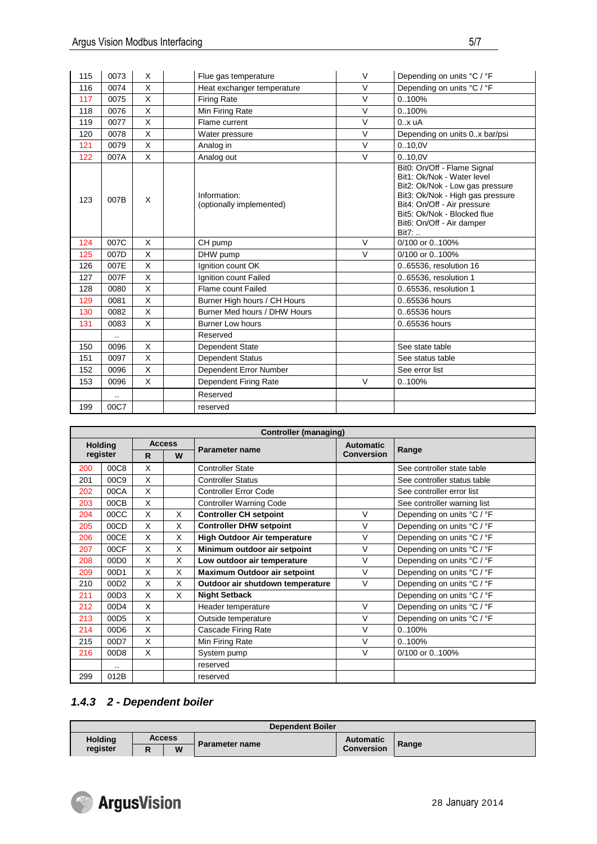| 115 | 0073      | X        | Flue gas temperature                     | V      | Depending on units °C / °F                                                                                                                                                                                                           |
|-----|-----------|----------|------------------------------------------|--------|--------------------------------------------------------------------------------------------------------------------------------------------------------------------------------------------------------------------------------------|
| 116 | 0074      | X        | Heat exchanger temperature               | $\vee$ | Depending on units °C / °F                                                                                                                                                                                                           |
| 117 | 0075      | X        | <b>Firing Rate</b>                       | $\vee$ | 0.100%                                                                                                                                                                                                                               |
| 118 | 0076      | $\times$ | Min Firing Rate                          | $\vee$ | 0.100%                                                                                                                                                                                                                               |
| 119 | 0077      | X        | Flame current                            | V      | 0.x uA                                                                                                                                                                                                                               |
| 120 | 0078      | X        | Water pressure                           | $\vee$ | Depending on units 0.x bar/psi                                                                                                                                                                                                       |
| 121 | 0079      | X        | Analog in                                | $\vee$ | 0.10,0V                                                                                                                                                                                                                              |
| 122 | 007A      | X        | Analog out                               | $\vee$ | 0.10.0V                                                                                                                                                                                                                              |
| 123 | 007B      | X        | Information:<br>(optionally implemented) |        | Bit0: On/Off - Flame Signal<br>Bit1: Ok/Nok - Water level<br>Bit2: Ok/Nok - Low gas pressure<br>Bit3: Ok/Nok - High gas pressure<br>Bit4: On/Off - Air pressure<br>Bit5: Ok/Nok - Blocked flue<br>Bit6: On/Off - Air damper<br>Bit7: |
| 124 | 007C      | X        | CH pump                                  | $\vee$ | 0/100 or 0100%                                                                                                                                                                                                                       |
| 125 | 007D      | X        | DHW pump                                 | $\vee$ | 0/100 or 0100%                                                                                                                                                                                                                       |
| 126 | 007E      | X        | Ignition count OK                        |        | 065536, resolution 16                                                                                                                                                                                                                |
| 127 | 007F      | X        | Ignition count Failed                    |        | 0.65536, resolution 1                                                                                                                                                                                                                |
| 128 | 0080      | X        | Flame count Failed                       |        | 0.65536, resolution 1                                                                                                                                                                                                                |
| 129 | 0081      | X        | Burner High hours / CH Hours             |        | 065536 hours                                                                                                                                                                                                                         |
| 130 | 0082      | X        | Burner Med hours / DHW Hours             |        | 065536 hours                                                                                                                                                                                                                         |
| 131 | 0083      | X        | <b>Burner Low hours</b>                  |        | 065536 hours                                                                                                                                                                                                                         |
|     |           |          | Reserved                                 |        |                                                                                                                                                                                                                                      |
| 150 | 0096      | X        | Dependent State                          |        | See state table                                                                                                                                                                                                                      |
| 151 | 0097      | X        | Dependent Status                         |        | See status table                                                                                                                                                                                                                     |
| 152 | 0096      | X        | Dependent Error Number                   |        | See error list                                                                                                                                                                                                                       |
| 153 | 0096      | X        | Dependent Firing Rate                    | $\vee$ | 0100%                                                                                                                                                                                                                                |
|     | $\ddotsc$ |          | Reserved                                 |        |                                                                                                                                                                                                                                      |
| 199 | 00C7      |          | reserved                                 |        |                                                                                                                                                                                                                                      |

|                | Controller (managing) |    |               |                                     |                   |                             |  |  |  |  |
|----------------|-----------------------|----|---------------|-------------------------------------|-------------------|-----------------------------|--|--|--|--|
| <b>Holding</b> |                       |    | <b>Access</b> | <b>Parameter name</b>               | <b>Automatic</b>  | Range                       |  |  |  |  |
|                | register              | R. | W             |                                     | <b>Conversion</b> |                             |  |  |  |  |
| 200            | 00C8                  | X  |               | <b>Controller State</b>             |                   | See controller state table  |  |  |  |  |
| 201            | 00C9                  | X  |               | <b>Controller Status</b>            |                   | See controller status table |  |  |  |  |
| 202            | 00CA                  | X  |               | <b>Controller Error Code</b>        |                   | See controller error list   |  |  |  |  |
| 203            | 00CB                  | X  |               | <b>Controller Warning Code</b>      |                   | See controller warning list |  |  |  |  |
| 204            | 00CC                  | X  | X             | <b>Controller CH setpoint</b>       | $\vee$            | Depending on units °C / °F  |  |  |  |  |
| 205            | 00CD                  | X  | X             | <b>Controller DHW setpoint</b>      | $\vee$            | Depending on units °C / °F  |  |  |  |  |
| 206            | 00CE                  | X  | X             | <b>High Outdoor Air temperature</b> | $\vee$            | Depending on units °C / °F  |  |  |  |  |
| 207            | 00CF                  | X  | X             | Minimum outdoor air setpoint        | V                 | Depending on units °C / °F  |  |  |  |  |
| 208            | 00D <sub>0</sub>      | X  | X             | Low outdoor air temperature         | $\vee$            | Depending on units °C / °F  |  |  |  |  |
| 209            | 00D1                  | X  | X             | <b>Maximum Outdoor air setpoint</b> | $\vee$            | Depending on units °C / °F  |  |  |  |  |
| 210            | 00D <sub>2</sub>      | X  | X             | Outdoor air shutdown temperature    | $\vee$            | Depending on units °C / °F  |  |  |  |  |
| 211            | 00D3                  | X  | X             | <b>Night Setback</b>                |                   | Depending on units °C / °F  |  |  |  |  |
| 212            | 00D4                  | X  |               | Header temperature                  | $\vee$            | Depending on units °C / °F  |  |  |  |  |
| 213            | 00D <sub>5</sub>      | X  |               | Outside temperature                 | $\vee$            | Depending on units °C / °F  |  |  |  |  |
| 214            | 00D6                  | X  |               | Cascade Firing Rate                 | $\vee$            | 0.100%                      |  |  |  |  |
| 215            | 00D7                  | X  |               | Min Firing Rate                     | $\vee$            | 0.100%                      |  |  |  |  |
| 216            | 00D8                  | X  |               | System pump                         | V                 | 0/100 or 0100%              |  |  |  |  |
|                |                       |    |               | reserved                            |                   |                             |  |  |  |  |
| 299            | 012B                  |    |               | reserved                            |                   |                             |  |  |  |  |

#### *1.4.3 2 - Dependent boiler*

| <b>Dependent Boiler</b> |               |   |                |                   |       |  |  |  |  |
|-------------------------|---------------|---|----------------|-------------------|-------|--|--|--|--|
| <b>Holding</b>          | <b>Access</b> |   |                | <b>Automatic</b>  |       |  |  |  |  |
| register                | в             | W | Parameter name | <b>Conversion</b> | Range |  |  |  |  |

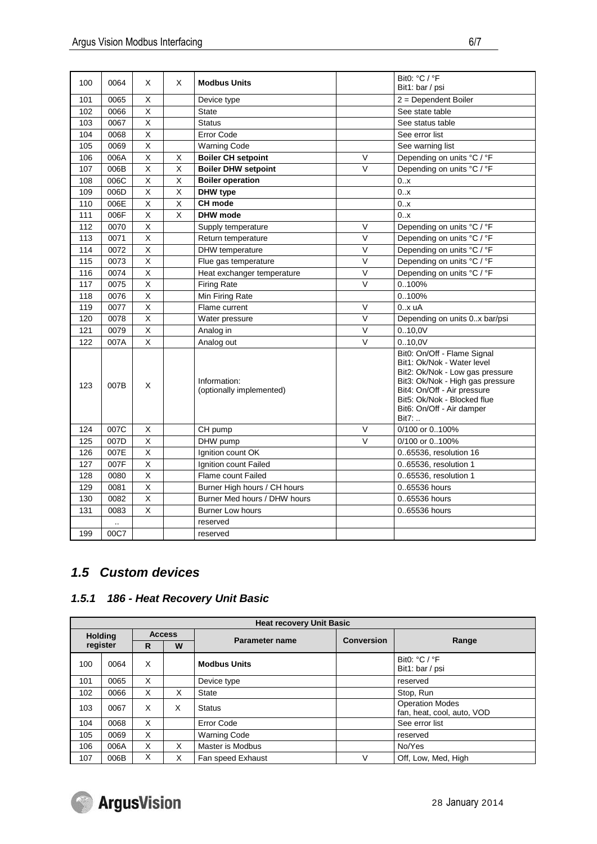| 100 | 0064 | X                       | X                       | <b>Modbus Units</b>                      |        | Bit0: °C / °F<br>Bit1: bar / psi                                                                                                                                                                                                     |
|-----|------|-------------------------|-------------------------|------------------------------------------|--------|--------------------------------------------------------------------------------------------------------------------------------------------------------------------------------------------------------------------------------------|
| 101 | 0065 | X                       |                         | Device type                              |        | 2 = Dependent Boiler                                                                                                                                                                                                                 |
| 102 | 0066 | X                       |                         | <b>State</b>                             |        | See state table                                                                                                                                                                                                                      |
| 103 | 0067 | X                       |                         | <b>Status</b>                            |        | See status table                                                                                                                                                                                                                     |
| 104 | 0068 | X                       |                         | <b>Error Code</b>                        |        | See error list                                                                                                                                                                                                                       |
| 105 | 0069 | $\overline{\mathsf{x}}$ |                         | <b>Warning Code</b>                      |        | See warning list                                                                                                                                                                                                                     |
| 106 | 006A | X                       | Х                       | <b>Boiler CH setpoint</b>                | V      | Depending on units °C / °F                                                                                                                                                                                                           |
| 107 | 006B | X                       | X                       | <b>Boiler DHW setpoint</b>               | V      | Depending on units °C / °F                                                                                                                                                                                                           |
| 108 | 006C | $\overline{\mathsf{x}}$ | X                       | <b>Boiler operation</b>                  |        | 0.x                                                                                                                                                                                                                                  |
| 109 | 006D | X                       | X                       | DHW type                                 |        | 0.x                                                                                                                                                                                                                                  |
| 110 | 006E | X                       | X                       | CH mode                                  |        | 0.x                                                                                                                                                                                                                                  |
| 111 | 006F | $\overline{X}$          | $\overline{\mathsf{x}}$ | <b>DHW</b> mode                          |        | 0.x                                                                                                                                                                                                                                  |
| 112 | 0070 | X                       |                         | Supply temperature                       | V      | Depending on units °C / °F                                                                                                                                                                                                           |
| 113 | 0071 | X                       |                         | Return temperature                       | $\vee$ | Depending on units °C / °F                                                                                                                                                                                                           |
| 114 | 0072 | $\overline{X}$          |                         | DHW temperature                          | V      | Depending on units °C / °F                                                                                                                                                                                                           |
| 115 | 0073 | X                       |                         | Flue gas temperature                     | V      | Depending on units °C / °F                                                                                                                                                                                                           |
| 116 | 0074 | X                       |                         | Heat exchanger temperature               | V      | Depending on units °C / °F                                                                                                                                                                                                           |
| 117 | 0075 | X                       |                         | <b>Firing Rate</b>                       | V      | 0100%                                                                                                                                                                                                                                |
| 118 | 0076 | $\overline{\mathsf{x}}$ |                         | Min Firing Rate                          |        | 0100%                                                                                                                                                                                                                                |
| 119 | 0077 | X                       |                         | Flame current                            | V      | 0.x uA                                                                                                                                                                                                                               |
| 120 | 0078 | X                       |                         | Water pressure                           | $\vee$ | Depending on units 0x bar/psi                                                                                                                                                                                                        |
| 121 | 0079 | X                       |                         | Analog in                                | V      | 0.10,0V                                                                                                                                                                                                                              |
| 122 | 007A | X                       |                         | Analog out                               | V      | 0.10,0V                                                                                                                                                                                                                              |
| 123 | 007B | X                       |                         | Information:<br>(optionally implemented) |        | Bit0: On/Off - Flame Signal<br>Bit1: Ok/Nok - Water level<br>Bit2: Ok/Nok - Low gas pressure<br>Bit3: Ok/Nok - High gas pressure<br>Bit4: On/Off - Air pressure<br>Bit5: Ok/Nok - Blocked flue<br>Bit6: On/Off - Air damper<br>Bit7: |
| 124 | 007C | х                       |                         | CH pump                                  | V      | 0/100 or 0100%                                                                                                                                                                                                                       |
| 125 | 007D | X                       |                         | DHW pump                                 | $\vee$ | 0/100 or 0100%                                                                                                                                                                                                                       |
| 126 | 007E | $\overline{X}$          |                         | Ignition count OK                        |        | 065536, resolution 16                                                                                                                                                                                                                |
| 127 | 007F | X                       |                         | Ignition count Failed                    |        | 0.65536, resolution 1                                                                                                                                                                                                                |
| 128 | 0080 | X                       |                         | Flame count Failed                       |        | 0.65536, resolution 1                                                                                                                                                                                                                |
| 129 | 0081 | $\overline{\mathsf{x}}$ |                         | Burner High hours / CH hours             |        | 065536 hours                                                                                                                                                                                                                         |
| 130 | 0082 | X                       |                         | Burner Med hours / DHW hours             |        | 065536 hours                                                                                                                                                                                                                         |
| 131 | 0083 | X                       |                         | <b>Burner Low hours</b>                  |        | 065536 hours                                                                                                                                                                                                                         |
|     |      |                         |                         | reserved                                 |        |                                                                                                                                                                                                                                      |
| 199 | 00C7 |                         |                         | reserved                                 |        |                                                                                                                                                                                                                                      |

# *1.5 Custom devices*

### *1.5.1 186 - Heat Recovery Unit Basic*

| <b>Heat recovery Unit Basic</b> |      |               |   |                       |                   |                                                      |  |  |  |  |
|---------------------------------|------|---------------|---|-----------------------|-------------------|------------------------------------------------------|--|--|--|--|
| <b>Holding</b>                  |      | <b>Access</b> |   |                       | <b>Conversion</b> |                                                      |  |  |  |  |
| register                        |      | R             | W | <b>Parameter name</b> |                   | Range                                                |  |  |  |  |
| 100                             | 0064 | X             |   | <b>Modbus Units</b>   |                   | Bit0: $°C$ / $°F$<br>Bit1: bar / psi                 |  |  |  |  |
| 101                             | 0065 | X             |   | Device type           |                   | reserved                                             |  |  |  |  |
| 102                             | 0066 | X             | X | <b>State</b>          |                   | Stop, Run                                            |  |  |  |  |
| 103                             | 0067 | X             | X | <b>Status</b>         |                   | <b>Operation Modes</b><br>fan, heat, cool, auto, VOD |  |  |  |  |
| 104                             | 0068 | X             |   | <b>Error Code</b>     |                   | See error list                                       |  |  |  |  |
| 105                             | 0069 | X             |   | <b>Warning Code</b>   |                   | reserved                                             |  |  |  |  |
| 106                             | 006A | X             | X | Master is Modbus      |                   | No/Yes                                               |  |  |  |  |
| 107                             | 006B | X             | X | Fan speed Exhaust     |                   | Off, Low, Med, High                                  |  |  |  |  |